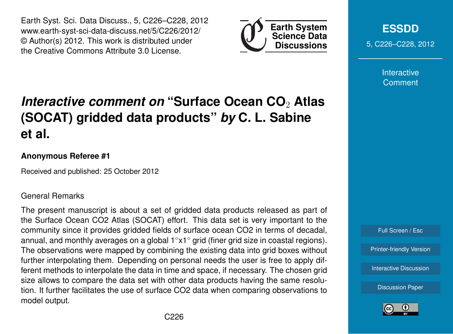Earth Syst. Sci. Data Discuss., 5, C226–C228, 2012 www.earth-syst-sci-data-discuss.net/5/C226/2012/ © Author(s) 2012. This work is distributed under the Creative Commons Attribute 3.0 License.



**[ESSDD](http://www.earth-syst-sci-data-discuss.net)** 5, C226–C228, 2012

> Interactive **Comment**

# *Interactive comment on* **"Surface Ocean CO**<sup>2</sup> **Atlas (SOCAT) gridded data products"** *by* **C. L. Sabine et al.**

### **Anonymous Referee #1**

Received and published: 25 October 2012

#### General Remarks

The present manuscript is about a set of gridded data products released as part of the Surface Ocean CO2 Atlas (SOCAT) effort. This data set is very important to the community since it provides gridded fields of surface ocean CO2 in terms of decadal, annual, and monthly averages on a global 1◦x1◦ grid (finer grid size in coastal regions). The observations were mapped by combining the existing data into grid boxes without further interpolating them. Depending on personal needs the user is free to apply different methods to interpolate the data in time and space, if necessary. The chosen grid size allows to compare the data set with other data products having the same resolution. It further facilitates the use of surface CO2 data when comparing observations to model output.



[Printer-friendly Version](http://www.earth-syst-sci-data-discuss.net/5/C226/2012/essdd-5-C226-2012-print.pdf)

[Interactive Discussion](http://www.earth-syst-sci-data-discuss.net/5/781/2012/essdd-5-781-2012-discussion.html)

[Discussion Paper](http://www.earth-syst-sci-data-discuss.net/5/781/2012/essdd-5-781-2012.pdf)

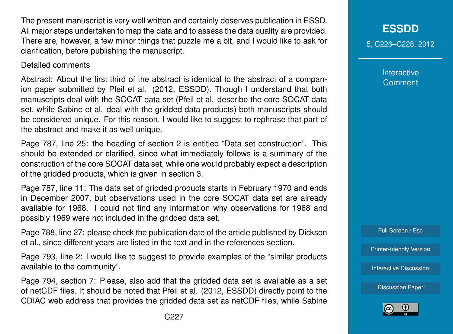The present manuscript is very well written and certainly deserves publication in ESSD. All major steps undertaken to map the data and to assess the data quality are provided. There are, however, a few minor things that puzzle me a bit, and I would like to ask for clarification, before publishing the manuscript.

#### Detailed comments

Abstract: About the first third of the abstract is identical to the abstract of a companion paper submitted by Pfeil et al. (2012, ESSDD). Though I understand that both manuscripts deal with the SOCAT data set (Pfeil et al. describe the core SOCAT data set, while Sabine et al. deal with the gridded data products) both manuscripts should be considered unique. For this reason, I would like to suggest to rephrase that part of the abstract and make it as well unique.

Page 787, line 25: the heading of section 2 is entitled "Data set construction". This should be extended or clarified, since what immediately follows is a summary of the construction of the core SOCAT data set, while one would probably expect a description of the gridded products, which is given in section 3.

Page 787, line 11: The data set of gridded products starts in February 1970 and ends in December 2007, but observations used in the core SOCAT data set are already available for 1968. I could not find any information why observations for 1968 and possibly 1969 were not included in the gridded data set.

Page 788, line 27: please check the publication date of the article published by Dickson et al., since different years are listed in the text and in the references section.

Page 793, line 2: I would like to suggest to provide examples of the "similar products available to the community".

Page 794, section 7: Please, also add that the gridded data set is available as a set of netCDF files. It should be noted that Pfeil et al. (2012, ESSDD) directly point to the CDIAC web address that provides the gridded data set as netCDF files, while Sabine

Interactive **Comment** 

Full Screen / Esc

[Printer-friendly Version](http://www.earth-syst-sci-data-discuss.net/5/C226/2012/essdd-5-C226-2012-print.pdf)

[Interactive Discussion](http://www.earth-syst-sci-data-discuss.net/5/781/2012/essdd-5-781-2012-discussion.html)

[Discussion Paper](http://www.earth-syst-sci-data-discuss.net/5/781/2012/essdd-5-781-2012.pdf)